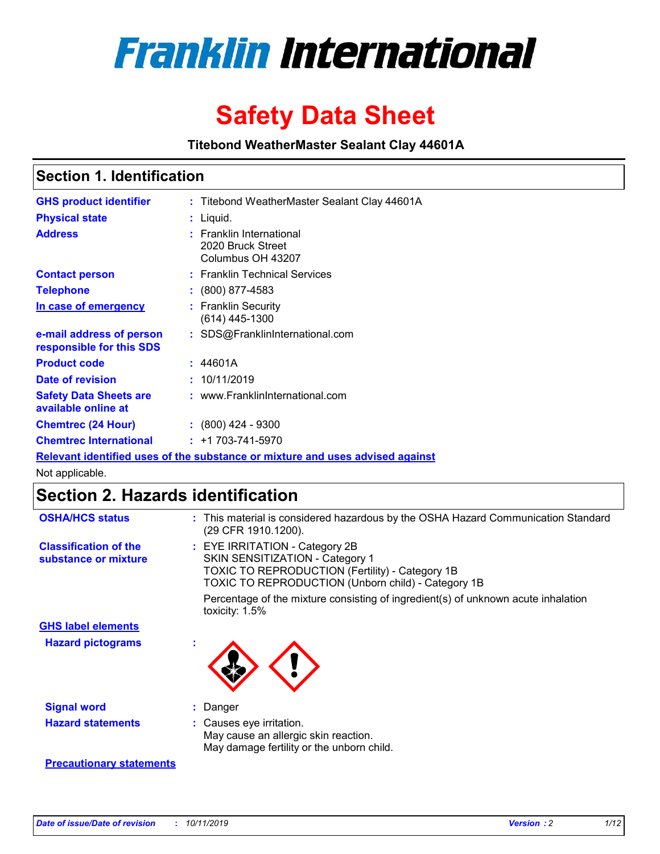

# **Safety Data Sheet**

**Titebond WeatherMaster Sealant Clay 44601A**

### **Section 1. Identification**

| <b>GHS product identifier</b>                        | : Titebond WeatherMaster Sealant Clay 44601A                                  |
|------------------------------------------------------|-------------------------------------------------------------------------------|
| <b>Physical state</b>                                | : Liquid.                                                                     |
| <b>Address</b>                                       | : Franklin International<br>2020 Bruck Street<br>Columbus OH 43207            |
| <b>Contact person</b>                                | : Franklin Technical Services                                                 |
| <b>Telephone</b>                                     | $\colon$ (800) 877-4583                                                       |
| In case of emergency                                 | : Franklin Security<br>(614) 445-1300                                         |
| e-mail address of person<br>responsible for this SDS | : SDS@FranklinInternational.com                                               |
| <b>Product code</b>                                  | : 44601A                                                                      |
| Date of revision                                     | : 10/11/2019                                                                  |
| <b>Safety Data Sheets are</b><br>available online at | : www.FranklinInternational.com                                               |
| <b>Chemtrec (24 Hour)</b>                            | $\div$ (800) 424 - 9300                                                       |
| <b>Chemtrec International</b>                        | $: +1703 - 741 - 5970$                                                        |
|                                                      | Relevant identified uses of the substance or mixture and uses advised against |

Not applicable.

## **Section 2. Hazards identification**

| <b>OSHA/HCS status</b>                               | : This material is considered hazardous by the OSHA Hazard Communication Standard<br>(29 CFR 1910.1200).                                                                                 |
|------------------------------------------------------|------------------------------------------------------------------------------------------------------------------------------------------------------------------------------------------|
| <b>Classification of the</b><br>substance or mixture | : EYE IRRITATION - Category 2B<br>SKIN SENSITIZATION - Category 1<br><b>TOXIC TO REPRODUCTION (Fertility) - Category 1B</b><br><b>TOXIC TO REPRODUCTION (Unborn child) - Category 1B</b> |
|                                                      | Percentage of the mixture consisting of ingredient(s) of unknown acute inhalation<br>toxicity: $1.5\%$                                                                                   |
| <b>GHS label elements</b>                            |                                                                                                                                                                                          |
| <b>Hazard pictograms</b>                             |                                                                                                                                                                                          |
| <b>Signal word</b>                                   | : Danger                                                                                                                                                                                 |
| <b>Hazard statements</b>                             | : Causes eye irritation.<br>May cause an allergic skin reaction.<br>May damage fertility or the unborn child.                                                                            |
| <b>Precautionary statements</b>                      |                                                                                                                                                                                          |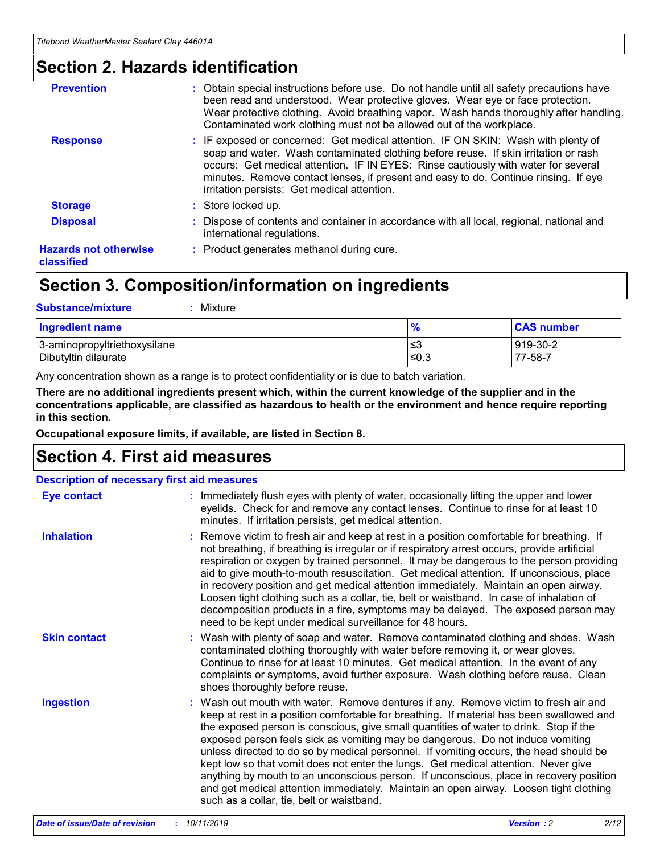### **Section 2. Hazards identification**

| <b>Prevention</b>                          | : Obtain special instructions before use. Do not handle until all safety precautions have<br>been read and understood. Wear protective gloves. Wear eye or face protection.<br>Wear protective clothing. Avoid breathing vapor. Wash hands thoroughly after handling.<br>Contaminated work clothing must not be allowed out of the workplace.                                                        |
|--------------------------------------------|------------------------------------------------------------------------------------------------------------------------------------------------------------------------------------------------------------------------------------------------------------------------------------------------------------------------------------------------------------------------------------------------------|
| <b>Response</b>                            | : IF exposed or concerned: Get medical attention. IF ON SKIN: Wash with plenty of<br>soap and water. Wash contaminated clothing before reuse. If skin irritation or rash<br>occurs: Get medical attention. IF IN EYES: Rinse cautiously with water for several<br>minutes. Remove contact lenses, if present and easy to do. Continue rinsing. If eye<br>irritation persists: Get medical attention. |
| <b>Storage</b>                             | : Store locked up.                                                                                                                                                                                                                                                                                                                                                                                   |
| <b>Disposal</b>                            | : Dispose of contents and container in accordance with all local, regional, national and<br>international regulations.                                                                                                                                                                                                                                                                               |
| <b>Hazards not otherwise</b><br>classified | : Product generates methanol during cure.                                                                                                                                                                                                                                                                                                                                                            |
|                                            |                                                                                                                                                                                                                                                                                                                                                                                                      |

### **Section 3. Composition/information on ingredients**

| <b>Substance/mixture</b><br>: Mixture                |               |                     |
|------------------------------------------------------|---------------|---------------------|
| Ingredient name                                      | $\frac{9}{6}$ | <b>CAS number</b>   |
| 3-aminopropyltriethoxysilane<br>Dibutyltin dilaurate | צ≥<br>≤0.3    | 919-30-2<br>77-58-7 |

Any concentration shown as a range is to protect confidentiality or is due to batch variation.

**There are no additional ingredients present which, within the current knowledge of the supplier and in the concentrations applicable, are classified as hazardous to health or the environment and hence require reporting in this section.**

**Occupational exposure limits, if available, are listed in Section 8.**

### **Section 4. First aid measures**

| <b>Description of necessary first aid measures</b> |                                                                                                                                                                                                                                                                                                                                                                                                                                                                                                                                                                                                                                                                                                                                                                           |  |  |  |
|----------------------------------------------------|---------------------------------------------------------------------------------------------------------------------------------------------------------------------------------------------------------------------------------------------------------------------------------------------------------------------------------------------------------------------------------------------------------------------------------------------------------------------------------------------------------------------------------------------------------------------------------------------------------------------------------------------------------------------------------------------------------------------------------------------------------------------------|--|--|--|
| <b>Eye contact</b>                                 | : Immediately flush eyes with plenty of water, occasionally lifting the upper and lower<br>eyelids. Check for and remove any contact lenses. Continue to rinse for at least 10<br>minutes. If irritation persists, get medical attention.                                                                                                                                                                                                                                                                                                                                                                                                                                                                                                                                 |  |  |  |
| <b>Inhalation</b>                                  | : Remove victim to fresh air and keep at rest in a position comfortable for breathing. If<br>not breathing, if breathing is irregular or if respiratory arrest occurs, provide artificial<br>respiration or oxygen by trained personnel. It may be dangerous to the person providing<br>aid to give mouth-to-mouth resuscitation. Get medical attention. If unconscious, place<br>in recovery position and get medical attention immediately. Maintain an open airway.<br>Loosen tight clothing such as a collar, tie, belt or waistband. In case of inhalation of<br>decomposition products in a fire, symptoms may be delayed. The exposed person may<br>need to be kept under medical surveillance for 48 hours.                                                       |  |  |  |
| <b>Skin contact</b>                                | : Wash with plenty of soap and water. Remove contaminated clothing and shoes. Wash<br>contaminated clothing thoroughly with water before removing it, or wear gloves.<br>Continue to rinse for at least 10 minutes. Get medical attention. In the event of any<br>complaints or symptoms, avoid further exposure. Wash clothing before reuse. Clean<br>shoes thoroughly before reuse.                                                                                                                                                                                                                                                                                                                                                                                     |  |  |  |
| <b>Ingestion</b>                                   | : Wash out mouth with water. Remove dentures if any. Remove victim to fresh air and<br>keep at rest in a position comfortable for breathing. If material has been swallowed and<br>the exposed person is conscious, give small quantities of water to drink. Stop if the<br>exposed person feels sick as vomiting may be dangerous. Do not induce vomiting<br>unless directed to do so by medical personnel. If vomiting occurs, the head should be<br>kept low so that vomit does not enter the lungs. Get medical attention. Never give<br>anything by mouth to an unconscious person. If unconscious, place in recovery position<br>and get medical attention immediately. Maintain an open airway. Loosen tight clothing<br>such as a collar, tie, belt or waistband. |  |  |  |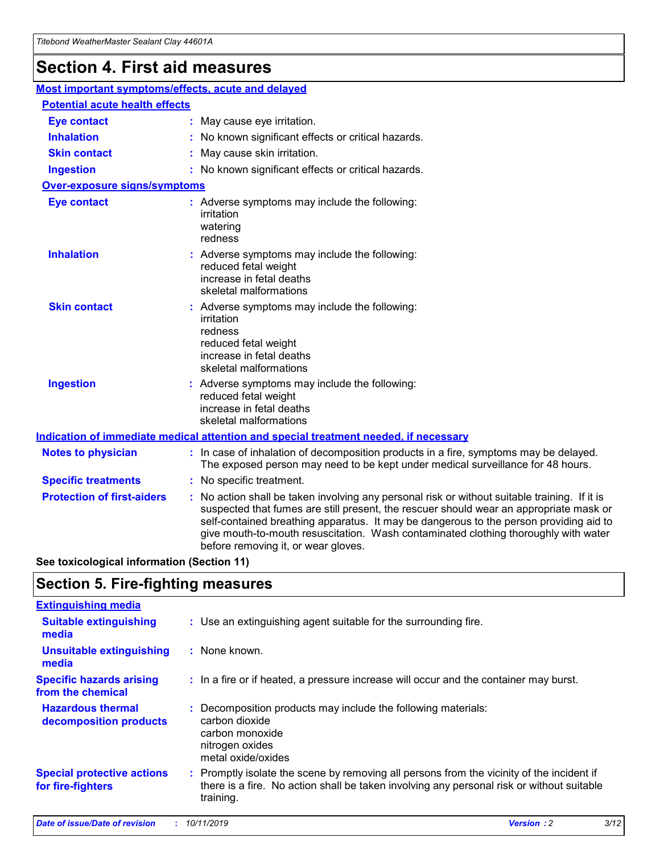## **Section 4. First aid measures**

| Most important symptoms/effects, acute and delayed |                                       |                                                                                                                                                                                                                                                                                                                                                                                                                 |  |  |  |
|----------------------------------------------------|---------------------------------------|-----------------------------------------------------------------------------------------------------------------------------------------------------------------------------------------------------------------------------------------------------------------------------------------------------------------------------------------------------------------------------------------------------------------|--|--|--|
|                                                    | <b>Potential acute health effects</b> |                                                                                                                                                                                                                                                                                                                                                                                                                 |  |  |  |
| <b>Eye contact</b>                                 |                                       | : May cause eye irritation.                                                                                                                                                                                                                                                                                                                                                                                     |  |  |  |
| <b>Inhalation</b>                                  |                                       | : No known significant effects or critical hazards.                                                                                                                                                                                                                                                                                                                                                             |  |  |  |
| <b>Skin contact</b>                                |                                       | : May cause skin irritation.                                                                                                                                                                                                                                                                                                                                                                                    |  |  |  |
| <b>Ingestion</b>                                   |                                       | : No known significant effects or critical hazards.                                                                                                                                                                                                                                                                                                                                                             |  |  |  |
| Over-exposure signs/symptoms                       |                                       |                                                                                                                                                                                                                                                                                                                                                                                                                 |  |  |  |
| <b>Eye contact</b>                                 |                                       | : Adverse symptoms may include the following:<br>irritation<br>watering<br>redness                                                                                                                                                                                                                                                                                                                              |  |  |  |
| <b>Inhalation</b>                                  |                                       | : Adverse symptoms may include the following:<br>reduced fetal weight<br>increase in fetal deaths<br>skeletal malformations                                                                                                                                                                                                                                                                                     |  |  |  |
| <b>Skin contact</b>                                |                                       | : Adverse symptoms may include the following:<br>irritation<br>redness<br>reduced fetal weight<br>increase in fetal deaths<br>skeletal malformations                                                                                                                                                                                                                                                            |  |  |  |
| <b>Ingestion</b>                                   |                                       | : Adverse symptoms may include the following:<br>reduced fetal weight<br>increase in fetal deaths<br>skeletal malformations                                                                                                                                                                                                                                                                                     |  |  |  |
|                                                    |                                       | <b>Indication of immediate medical attention and special treatment needed, if necessary</b>                                                                                                                                                                                                                                                                                                                     |  |  |  |
| <b>Notes to physician</b>                          |                                       | : In case of inhalation of decomposition products in a fire, symptoms may be delayed.<br>The exposed person may need to be kept under medical surveillance for 48 hours.                                                                                                                                                                                                                                        |  |  |  |
| <b>Specific treatments</b>                         |                                       | : No specific treatment.                                                                                                                                                                                                                                                                                                                                                                                        |  |  |  |
| <b>Protection of first-aiders</b>                  |                                       | : No action shall be taken involving any personal risk or without suitable training. If it is<br>suspected that fumes are still present, the rescuer should wear an appropriate mask or<br>self-contained breathing apparatus. It may be dangerous to the person providing aid to<br>give mouth-to-mouth resuscitation. Wash contaminated clothing thoroughly with water<br>before removing it, or wear gloves. |  |  |  |

**See toxicological information (Section 11)**

### **Section 5. Fire-fighting measures**

| <b>Extinguishing media</b>                             |                                                                                                                                                                                                     |
|--------------------------------------------------------|-----------------------------------------------------------------------------------------------------------------------------------------------------------------------------------------------------|
| <b>Suitable extinguishing</b><br>media                 | : Use an extinguishing agent suitable for the surrounding fire.                                                                                                                                     |
| <b>Unsuitable extinguishing</b><br>media               | : None known.                                                                                                                                                                                       |
| <b>Specific hazards arising</b><br>from the chemical   | : In a fire or if heated, a pressure increase will occur and the container may burst.                                                                                                               |
| <b>Hazardous thermal</b><br>decomposition products     | : Decomposition products may include the following materials:<br>carbon dioxide<br>carbon monoxide<br>nitrogen oxides<br>metal oxide/oxides                                                         |
| <b>Special protective actions</b><br>for fire-fighters | : Promptly isolate the scene by removing all persons from the vicinity of the incident if<br>there is a fire. No action shall be taken involving any personal risk or without suitable<br>training. |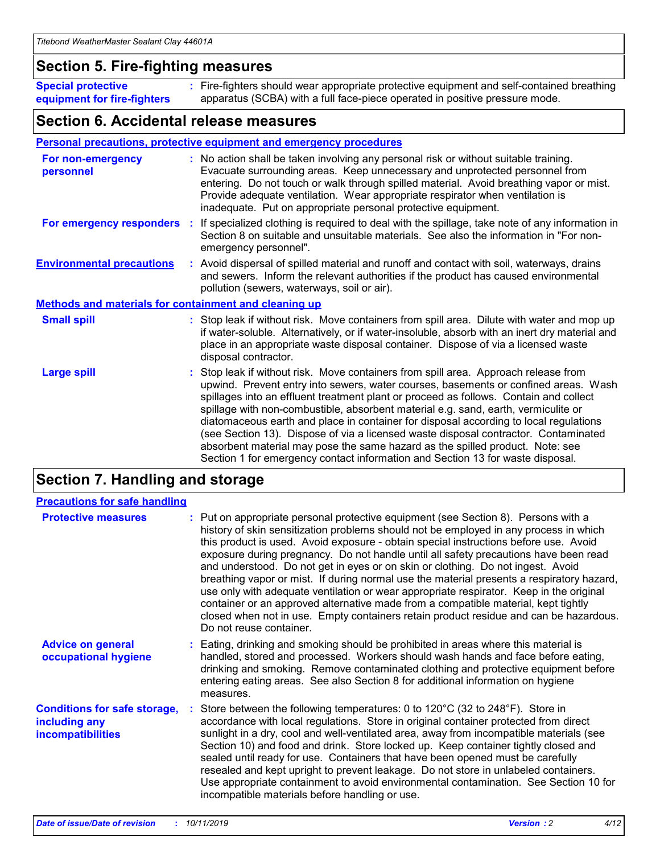### **Section 5. Fire-fighting measures**

**Special protective equipment for fire-fighters** Fire-fighters should wear appropriate protective equipment and self-contained breathing **:** apparatus (SCBA) with a full face-piece operated in positive pressure mode.

### **Section 6. Accidental release measures**

#### **Personal precautions, protective equipment and emergency procedures**

| For non-emergency<br>personnel                               | : No action shall be taken involving any personal risk or without suitable training.<br>Evacuate surrounding areas. Keep unnecessary and unprotected personnel from<br>entering. Do not touch or walk through spilled material. Avoid breathing vapor or mist.<br>Provide adequate ventilation. Wear appropriate respirator when ventilation is<br>inadequate. Put on appropriate personal protective equipment.                                                                                                                                                                                                                                                                                             |
|--------------------------------------------------------------|--------------------------------------------------------------------------------------------------------------------------------------------------------------------------------------------------------------------------------------------------------------------------------------------------------------------------------------------------------------------------------------------------------------------------------------------------------------------------------------------------------------------------------------------------------------------------------------------------------------------------------------------------------------------------------------------------------------|
|                                                              | For emergency responders : If specialized clothing is required to deal with the spillage, take note of any information in<br>Section 8 on suitable and unsuitable materials. See also the information in "For non-<br>emergency personnel".                                                                                                                                                                                                                                                                                                                                                                                                                                                                  |
| <b>Environmental precautions</b>                             | : Avoid dispersal of spilled material and runoff and contact with soil, waterways, drains<br>and sewers. Inform the relevant authorities if the product has caused environmental<br>pollution (sewers, waterways, soil or air).                                                                                                                                                                                                                                                                                                                                                                                                                                                                              |
| <b>Methods and materials for containment and cleaning up</b> |                                                                                                                                                                                                                                                                                                                                                                                                                                                                                                                                                                                                                                                                                                              |
| <b>Small spill</b>                                           | : Stop leak if without risk. Move containers from spill area. Dilute with water and mop up<br>if water-soluble. Alternatively, or if water-insoluble, absorb with an inert dry material and<br>place in an appropriate waste disposal container. Dispose of via a licensed waste<br>disposal contractor.                                                                                                                                                                                                                                                                                                                                                                                                     |
| <b>Large spill</b>                                           | : Stop leak if without risk. Move containers from spill area. Approach release from<br>upwind. Prevent entry into sewers, water courses, basements or confined areas. Wash<br>spillages into an effluent treatment plant or proceed as follows. Contain and collect<br>spillage with non-combustible, absorbent material e.g. sand, earth, vermiculite or<br>diatomaceous earth and place in container for disposal according to local regulations<br>(see Section 13). Dispose of via a licensed waste disposal contractor. Contaminated<br>absorbent material may pose the same hazard as the spilled product. Note: see<br>Section 1 for emergency contact information and Section 13 for waste disposal. |

### **Section 7. Handling and storage**

| <b>Precautions for safe handling</b>                                             |                                                                                                                                                                                                                                                                                                                                                                                                                                                                                                                                                                                                                                                                                                                                                                                                                                                  |
|----------------------------------------------------------------------------------|--------------------------------------------------------------------------------------------------------------------------------------------------------------------------------------------------------------------------------------------------------------------------------------------------------------------------------------------------------------------------------------------------------------------------------------------------------------------------------------------------------------------------------------------------------------------------------------------------------------------------------------------------------------------------------------------------------------------------------------------------------------------------------------------------------------------------------------------------|
| <b>Protective measures</b>                                                       | : Put on appropriate personal protective equipment (see Section 8). Persons with a<br>history of skin sensitization problems should not be employed in any process in which<br>this product is used. Avoid exposure - obtain special instructions before use. Avoid<br>exposure during pregnancy. Do not handle until all safety precautions have been read<br>and understood. Do not get in eyes or on skin or clothing. Do not ingest. Avoid<br>breathing vapor or mist. If during normal use the material presents a respiratory hazard,<br>use only with adequate ventilation or wear appropriate respirator. Keep in the original<br>container or an approved alternative made from a compatible material, kept tightly<br>closed when not in use. Empty containers retain product residue and can be hazardous.<br>Do not reuse container. |
| <b>Advice on general</b><br>occupational hygiene                                 | : Eating, drinking and smoking should be prohibited in areas where this material is<br>handled, stored and processed. Workers should wash hands and face before eating,<br>drinking and smoking. Remove contaminated clothing and protective equipment before<br>entering eating areas. See also Section 8 for additional information on hygiene<br>measures.                                                                                                                                                                                                                                                                                                                                                                                                                                                                                    |
| <b>Conditions for safe storage,</b><br>including any<br><b>incompatibilities</b> | Store between the following temperatures: 0 to 120 $\degree$ C (32 to 248 $\degree$ F). Store in<br>accordance with local regulations. Store in original container protected from direct<br>sunlight in a dry, cool and well-ventilated area, away from incompatible materials (see<br>Section 10) and food and drink. Store locked up. Keep container tightly closed and<br>sealed until ready for use. Containers that have been opened must be carefully<br>resealed and kept upright to prevent leakage. Do not store in unlabeled containers.<br>Use appropriate containment to avoid environmental contamination. See Section 10 for<br>incompatible materials before handling or use.                                                                                                                                                     |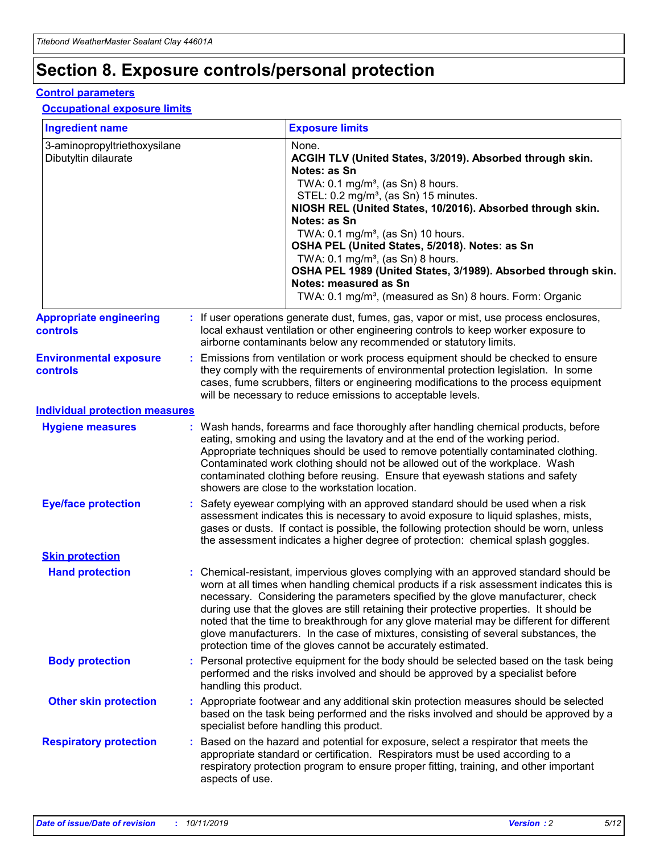## **Section 8. Exposure controls/personal protection**

#### **Control parameters**

#### **Occupational exposure limits**

| <b>Ingredient name</b>                               |    |                        | <b>Exposure limits</b>                                                                                                                                                                                                                                                                                                                                                                                                                                                                                                                                                                                                 |
|------------------------------------------------------|----|------------------------|------------------------------------------------------------------------------------------------------------------------------------------------------------------------------------------------------------------------------------------------------------------------------------------------------------------------------------------------------------------------------------------------------------------------------------------------------------------------------------------------------------------------------------------------------------------------------------------------------------------------|
| 3-aminopropyltriethoxysilane<br>Dibutyltin dilaurate |    |                        | None.<br>ACGIH TLV (United States, 3/2019). Absorbed through skin.<br>Notes: as Sn<br>TWA: $0.1 \text{ mg/m}^3$ , (as Sn) 8 hours.<br>STEL: 0.2 mg/m <sup>3</sup> , (as Sn) 15 minutes.<br>NIOSH REL (United States, 10/2016). Absorbed through skin.<br>Notes: as Sn<br>TWA: 0.1 mg/m <sup>3</sup> , (as Sn) 10 hours.<br>OSHA PEL (United States, 5/2018). Notes: as Sn<br>TWA: 0.1 mg/m <sup>3</sup> , (as Sn) 8 hours.<br>OSHA PEL 1989 (United States, 3/1989). Absorbed through skin.<br>Notes: measured as Sn<br>TWA: 0.1 mg/m <sup>3</sup> , (measured as Sn) 8 hours. Form: Organic                           |
| <b>Appropriate engineering</b><br>controls           |    |                        | : If user operations generate dust, fumes, gas, vapor or mist, use process enclosures,<br>local exhaust ventilation or other engineering controls to keep worker exposure to<br>airborne contaminants below any recommended or statutory limits.                                                                                                                                                                                                                                                                                                                                                                       |
| <b>Environmental exposure</b><br>controls            |    |                        | Emissions from ventilation or work process equipment should be checked to ensure<br>they comply with the requirements of environmental protection legislation. In some<br>cases, fume scrubbers, filters or engineering modifications to the process equipment<br>will be necessary to reduce emissions to acceptable levels.                                                                                                                                                                                                                                                                                          |
| <b>Individual protection measures</b>                |    |                        |                                                                                                                                                                                                                                                                                                                                                                                                                                                                                                                                                                                                                        |
| <b>Hygiene measures</b>                              |    |                        | : Wash hands, forearms and face thoroughly after handling chemical products, before<br>eating, smoking and using the lavatory and at the end of the working period.<br>Appropriate techniques should be used to remove potentially contaminated clothing.<br>Contaminated work clothing should not be allowed out of the workplace. Wash<br>contaminated clothing before reusing. Ensure that eyewash stations and safety<br>showers are close to the workstation location.                                                                                                                                            |
| <b>Eye/face protection</b>                           |    |                        | Safety eyewear complying with an approved standard should be used when a risk<br>assessment indicates this is necessary to avoid exposure to liquid splashes, mists,<br>gases or dusts. If contact is possible, the following protection should be worn, unless<br>the assessment indicates a higher degree of protection: chemical splash goggles.                                                                                                                                                                                                                                                                    |
| <b>Skin protection</b>                               |    |                        |                                                                                                                                                                                                                                                                                                                                                                                                                                                                                                                                                                                                                        |
| <b>Hand protection</b>                               |    |                        | : Chemical-resistant, impervious gloves complying with an approved standard should be<br>worn at all times when handling chemical products if a risk assessment indicates this is<br>necessary. Considering the parameters specified by the glove manufacturer, check<br>during use that the gloves are still retaining their protective properties. It should be<br>noted that the time to breakthrough for any glove material may be different for different<br>glove manufacturers. In the case of mixtures, consisting of several substances, the<br>protection time of the gloves cannot be accurately estimated. |
| <b>Body protection</b>                               |    | handling this product. | Personal protective equipment for the body should be selected based on the task being<br>performed and the risks involved and should be approved by a specialist before                                                                                                                                                                                                                                                                                                                                                                                                                                                |
| <b>Other skin protection</b>                         |    |                        | : Appropriate footwear and any additional skin protection measures should be selected<br>based on the task being performed and the risks involved and should be approved by a<br>specialist before handling this product.                                                                                                                                                                                                                                                                                                                                                                                              |
| <b>Respiratory protection</b>                        | ÷. | aspects of use.        | Based on the hazard and potential for exposure, select a respirator that meets the<br>appropriate standard or certification. Respirators must be used according to a<br>respiratory protection program to ensure proper fitting, training, and other important                                                                                                                                                                                                                                                                                                                                                         |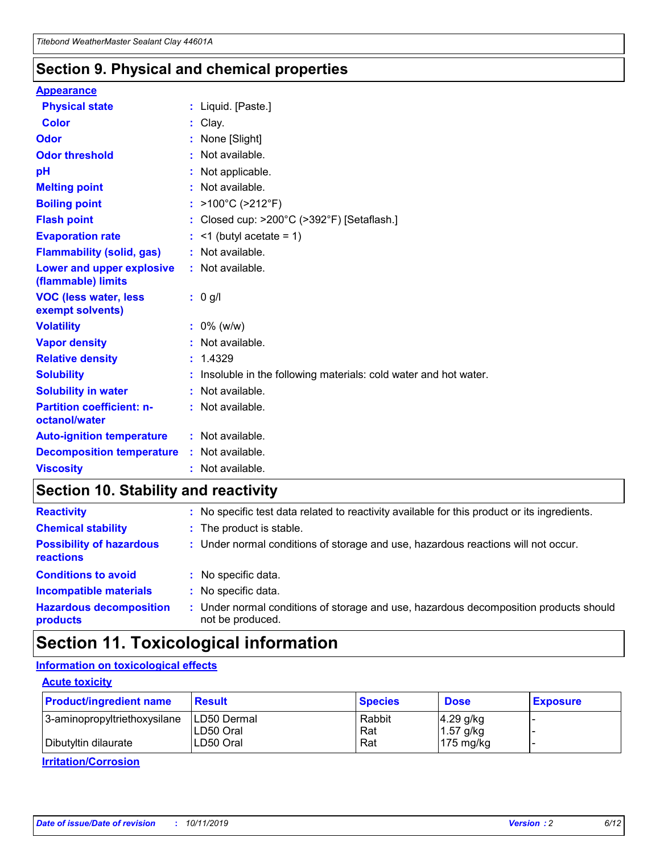### **Section 9. Physical and chemical properties**

#### **Appearance**

| <b>Physical state</b>                             | : Liquid. [Paste.]                                                |
|---------------------------------------------------|-------------------------------------------------------------------|
| Color                                             | Clay.                                                             |
| Odor                                              | None [Slight]                                                     |
| <b>Odor threshold</b>                             | : Not available.                                                  |
| рH                                                | : Not applicable.                                                 |
| <b>Melting point</b>                              | : Not available.                                                  |
| <b>Boiling point</b>                              | : $>100^{\circ}$ C ( $>212^{\circ}$ F)                            |
| <b>Flash point</b>                                | : Closed cup: $>200^{\circ}$ C ( $>392^{\circ}$ F) [Setaflash.]   |
| <b>Evaporation rate</b>                           | $:$ <1 (butyl acetate = 1)                                        |
| <b>Flammability (solid, gas)</b>                  | : Not available.                                                  |
| Lower and upper explosive<br>(flammable) limits   | : Not available.                                                  |
| <b>VOC (less water, less</b><br>exempt solvents)  | $: 0$ g/l                                                         |
| <b>Volatility</b>                                 | $: 0\%$ (w/w)                                                     |
| <b>Vapor density</b>                              | : Not available.                                                  |
| <b>Relative density</b>                           | : 1.4329                                                          |
| <b>Solubility</b>                                 | : Insoluble in the following materials: cold water and hot water. |
| <b>Solubility in water</b>                        | : Not available.                                                  |
| <b>Partition coefficient: n-</b><br>octanol/water | : Not available.                                                  |
| <b>Auto-ignition temperature</b>                  | $:$ Not available.                                                |
| <b>Decomposition temperature</b>                  | : Not available.                                                  |
| <b>Viscosity</b>                                  | : Not available.                                                  |

### **Section 10. Stability and reactivity**

| <b>Reactivity</b>                            |    | : No specific test data related to reactivity available for this product or its ingredients.            |
|----------------------------------------------|----|---------------------------------------------------------------------------------------------------------|
| <b>Chemical stability</b>                    |    | : The product is stable.                                                                                |
| <b>Possibility of hazardous</b><br>reactions |    | : Under normal conditions of storage and use, hazardous reactions will not occur.                       |
| <b>Conditions to avoid</b>                   |    | : No specific data.                                                                                     |
| <b>Incompatible materials</b>                | ٠. | No specific data.                                                                                       |
| <b>Hazardous decomposition</b><br>products   | ÷. | Under normal conditions of storage and use, hazardous decomposition products should<br>not be produced. |

### **Section 11. Toxicological information**

### **Information on toxicological effects**

#### **Acute toxicity**

| <b>Product/ingredient name</b> | <b>Result</b>           | <b>Species</b> | <b>Dose</b>                | <b>Exposure</b> |
|--------------------------------|-------------------------|----------------|----------------------------|-----------------|
| 3-aminopropyltriethoxysilane   | <b>ILD50 Dermal</b>     | Rabbit         | 4.29 g/kg                  |                 |
| Dibutyltin dilaurate           | ILD50 Oral<br>LD50 Oral | Rat<br>Rat     | $1.57$ g/kg<br>175 $mg/kg$ |                 |
|                                |                         |                |                            |                 |

**Irritation/Corrosion**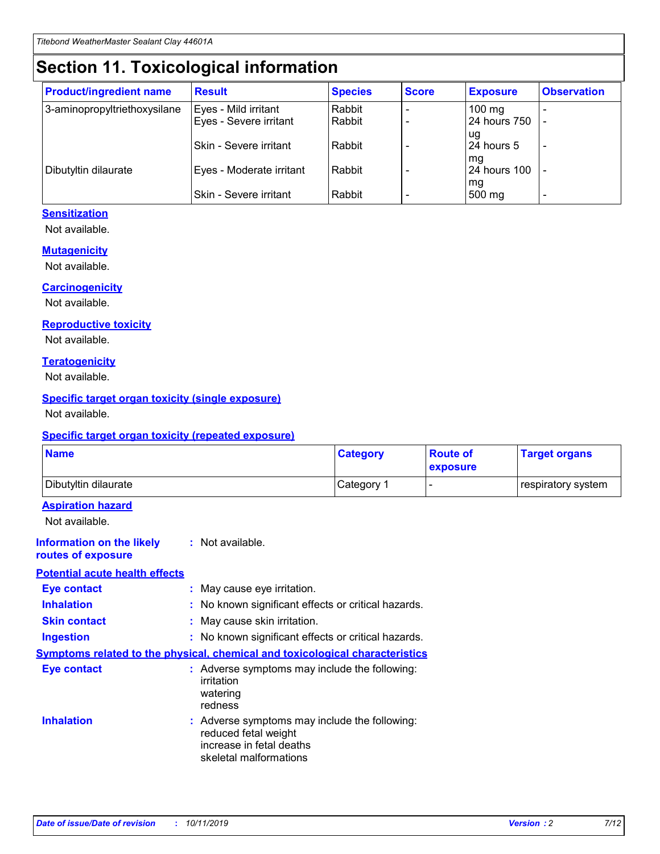## **Section 11. Toxicological information**

| <b>Product/ingredient name</b> | <b>Result</b>                 | <b>Species</b> | <b>Score</b> | <b>Exposure</b>    | <b>Observation</b> |
|--------------------------------|-------------------------------|----------------|--------------|--------------------|--------------------|
| 3-aminopropyltriethoxysilane   | Eyes - Mild irritant          | Rabbit         |              | $100$ mg           |                    |
|                                | Eyes - Severe irritant        | Rabbit         |              | 24 hours 750       |                    |
|                                |                               |                |              | ug                 |                    |
|                                | <b>Skin - Severe irritant</b> | Rabbit         |              | 24 hours 5         | ۰                  |
| Dibutyltin dilaurate           | Eyes - Moderate irritant      | Rabbit         |              | mq<br>24 hours 100 |                    |
|                                |                               |                |              | mg                 |                    |
|                                | Skin - Severe irritant        | Rabbit         |              | 500 mg             |                    |

#### **Sensitization**

Not available.

#### **Mutagenicity**

Not available.

#### **Carcinogenicity**

Not available.

#### **Reproductive toxicity**

Not available.

#### **Teratogenicity**

Not available.

#### **Specific target organ toxicity (single exposure)**

Not available.

#### **Specific target organ toxicity (repeated exposure)**

| <b>Name</b>                                                                  |                                                                                                                             | <b>Category</b> | <b>Route of</b><br>exposure  | <b>Target organs</b> |
|------------------------------------------------------------------------------|-----------------------------------------------------------------------------------------------------------------------------|-----------------|------------------------------|----------------------|
| Dibutyltin dilaurate                                                         |                                                                                                                             | Category 1      | $\qquad \qquad \blacksquare$ | respiratory system   |
| <b>Aspiration hazard</b><br>Not available.                                   |                                                                                                                             |                 |                              |                      |
| <b>Information on the likely</b><br>routes of exposure                       | : Not available.                                                                                                            |                 |                              |                      |
| <b>Potential acute health effects</b>                                        |                                                                                                                             |                 |                              |                      |
| <b>Eye contact</b>                                                           | : May cause eye irritation.                                                                                                 |                 |                              |                      |
| <b>Inhalation</b>                                                            | : No known significant effects or critical hazards.                                                                         |                 |                              |                      |
| <b>Skin contact</b>                                                          | : May cause skin irritation.                                                                                                |                 |                              |                      |
| <b>Ingestion</b>                                                             | : No known significant effects or critical hazards.                                                                         |                 |                              |                      |
| Symptoms related to the physical, chemical and toxicological characteristics |                                                                                                                             |                 |                              |                      |
| <b>Eye contact</b>                                                           | : Adverse symptoms may include the following:<br>irritation<br>watering<br>redness                                          |                 |                              |                      |
| <b>Inhalation</b>                                                            | : Adverse symptoms may include the following:<br>reduced fetal weight<br>increase in fetal deaths<br>skeletal malformations |                 |                              |                      |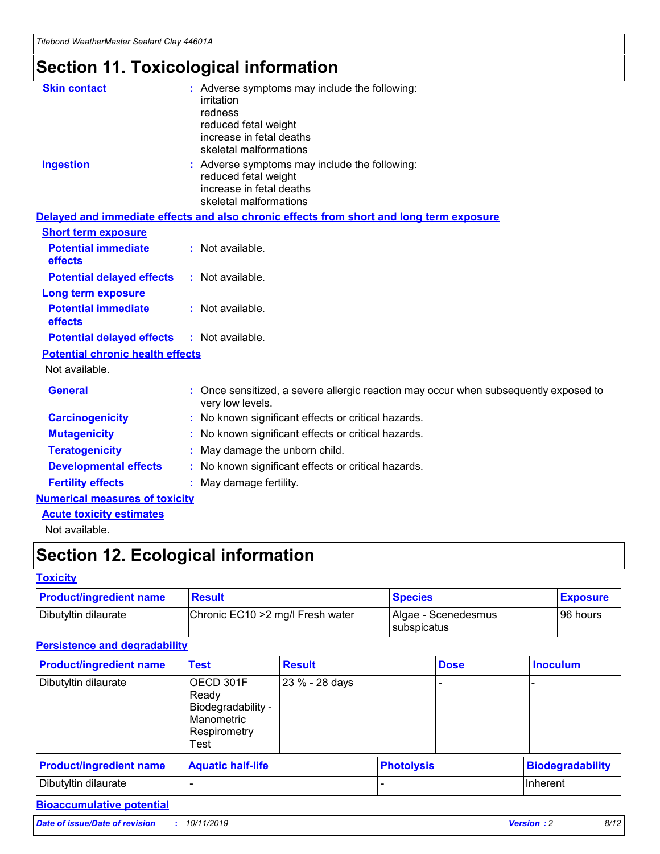## **Section 11. Toxicological information**

| <b>Skin contact</b>                     | : Adverse symptoms may include the following:                                                            |
|-----------------------------------------|----------------------------------------------------------------------------------------------------------|
|                                         | irritation                                                                                               |
|                                         | redness                                                                                                  |
|                                         | reduced fetal weight                                                                                     |
|                                         | increase in fetal deaths                                                                                 |
|                                         | skeletal malformations                                                                                   |
| <b>Ingestion</b>                        | : Adverse symptoms may include the following:                                                            |
|                                         | reduced fetal weight                                                                                     |
|                                         | increase in fetal deaths                                                                                 |
|                                         | skeletal malformations                                                                                   |
|                                         | Delayed and immediate effects and also chronic effects from short and long term exposure                 |
| <b>Short term exposure</b>              |                                                                                                          |
| <b>Potential immediate</b>              | : Not available.                                                                                         |
| effects                                 |                                                                                                          |
| <b>Potential delayed effects</b>        | : Not available.                                                                                         |
| Long term exposure                      |                                                                                                          |
| <b>Potential immediate</b>              | : Not available.                                                                                         |
| effects                                 |                                                                                                          |
| <b>Potential delayed effects</b>        | : Not available.                                                                                         |
| <b>Potential chronic health effects</b> |                                                                                                          |
| Not available.                          |                                                                                                          |
| <b>General</b>                          | : Once sensitized, a severe allergic reaction may occur when subsequently exposed to<br>very low levels. |
| <b>Carcinogenicity</b>                  | : No known significant effects or critical hazards.                                                      |
| <b>Mutagenicity</b>                     | No known significant effects or critical hazards.                                                        |
| <b>Teratogenicity</b>                   | May damage the unborn child.                                                                             |
| <b>Developmental effects</b>            | No known significant effects or critical hazards.                                                        |
| <b>Fertility effects</b>                | : May damage fertility.                                                                                  |
| <b>Numerical measures of toxicity</b>   |                                                                                                          |
| <b>Acute toxicity estimates</b>         |                                                                                                          |
|                                         |                                                                                                          |

Not available.

## **Section 12. Ecological information**

#### **Toxicity**

| <b>Product/ingredient name</b> | <b>Result</b>                     | <b>Species</b>                       | <b>Exposure</b> |
|--------------------------------|-----------------------------------|--------------------------------------|-----------------|
| Dibutyltin dilaurate           | Chronic EC10 > 2 mg/l Fresh water | Algae - Scenedesmus<br>I subspicatus | l 96 hours i    |

### **Persistence and degradability**

| <b>Product/ingredient name</b> | <b>Test</b>                                                                    | <b>Result</b>  |  | <b>Dose</b>       | <b>Inoculum</b>         |
|--------------------------------|--------------------------------------------------------------------------------|----------------|--|-------------------|-------------------------|
| Dibutyltin dilaurate           | OECD 301F<br>Ready<br>Biodegradability -<br>Manometric<br>Respirometry<br>Test | 23 % - 28 days |  |                   |                         |
| <b>Product/ingredient name</b> | <b>Aquatic half-life</b>                                                       |                |  | <b>Photolysis</b> | <b>Biodegradability</b> |
| Dibutyltin dilaurate           |                                                                                |                |  |                   | Inherent                |

### **Bioaccumulative potential**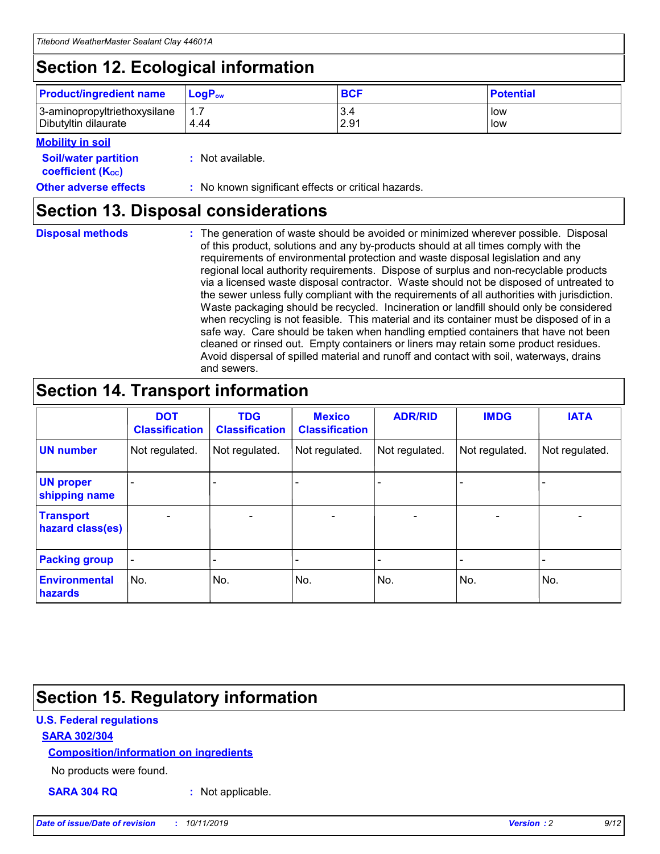## **Section 12. Ecological information**

| <b>Product/ingredient name</b>                       | ∣LoqP <sub>ow</sub> | <b>BCF</b>  | <b>Potential</b> |
|------------------------------------------------------|---------------------|-------------|------------------|
| 3-aminopropyltriethoxysilane<br>Dibutyltin dilaurate | 4.44                | 3.4<br>2.91 | low<br>low       |

#### **Mobility in soil**

| <i></i>                                                       |                                                     |
|---------------------------------------------------------------|-----------------------------------------------------|
| <b>Soil/water partition</b><br>coefficient (K <sub>oc</sub> ) | : Not available.                                    |
| <b>Other adverse effects</b>                                  | : No known significant effects or critical hazards. |

### **Section 13. Disposal considerations**

**Disposal methods :**

The generation of waste should be avoided or minimized wherever possible. Disposal of this product, solutions and any by-products should at all times comply with the requirements of environmental protection and waste disposal legislation and any regional local authority requirements. Dispose of surplus and non-recyclable products via a licensed waste disposal contractor. Waste should not be disposed of untreated to the sewer unless fully compliant with the requirements of all authorities with jurisdiction. Waste packaging should be recycled. Incineration or landfill should only be considered when recycling is not feasible. This material and its container must be disposed of in a safe way. Care should be taken when handling emptied containers that have not been cleaned or rinsed out. Empty containers or liners may retain some product residues. Avoid dispersal of spilled material and runoff and contact with soil, waterways, drains and sewers.

## **Section 14. Transport information**

|                                      | <b>DOT</b><br><b>Classification</b> | <b>TDG</b><br><b>Classification</b> | <b>Mexico</b><br><b>Classification</b> | <b>ADR/RID</b> | <b>IMDG</b>              | <b>IATA</b>              |
|--------------------------------------|-------------------------------------|-------------------------------------|----------------------------------------|----------------|--------------------------|--------------------------|
| <b>UN number</b>                     | Not regulated.                      | Not regulated.                      | Not regulated.                         | Not regulated. | Not regulated.           | Not regulated.           |
| <b>UN proper</b><br>shipping name    | $\blacksquare$                      |                                     |                                        |                |                          |                          |
| <b>Transport</b><br>hazard class(es) | $\blacksquare$                      | $\overline{\phantom{a}}$            | $\blacksquare$                         | $\blacksquare$ | $\overline{\phantom{a}}$ | $\overline{\phantom{0}}$ |
| <b>Packing group</b>                 | $\overline{\phantom{a}}$            | $\overline{\phantom{0}}$            | $\overline{\phantom{a}}$               | -              | $\overline{\phantom{0}}$ | $\overline{\phantom{a}}$ |
| <b>Environmental</b><br>hazards      | No.                                 | No.                                 | No.                                    | No.            | No.                      | No.                      |

## **Section 15. Regulatory information**

#### **U.S. Federal regulations**

#### **SARA 302/304**

#### **Composition/information on ingredients**

No products were found.

**SARA 304 RQ :** Not applicable.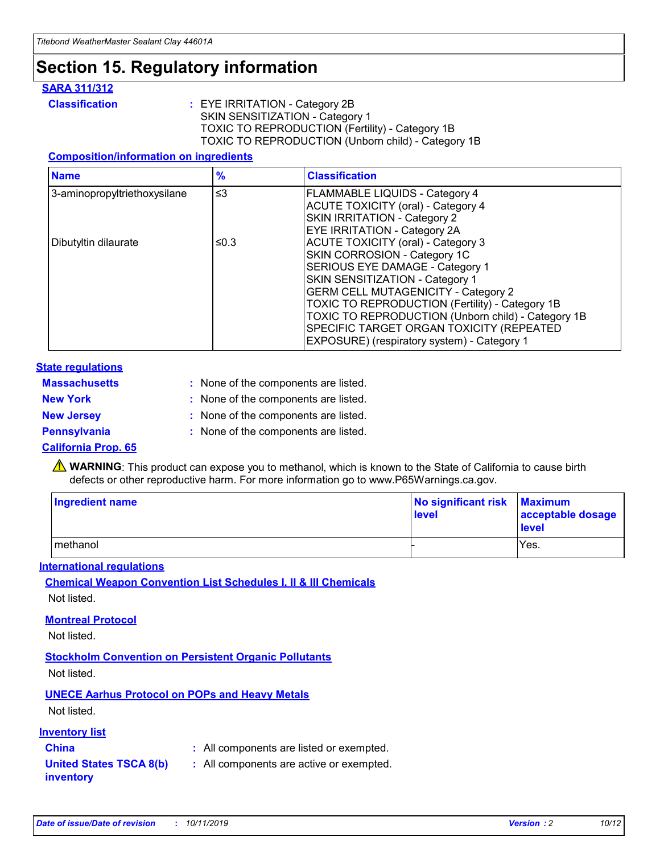## **Section 15. Regulatory information**

#### **SARA 311/312**

**Classification :** EYE IRRITATION - Category 2B SKIN SENSITIZATION - Category 1 TOXIC TO REPRODUCTION (Fertility) - Category 1B TOXIC TO REPRODUCTION (Unborn child) - Category 1B

#### **Composition/information on ingredients**

| <b>Name</b>                  | $\frac{9}{6}$ | <b>Classification</b>                                                                                            |
|------------------------------|---------------|------------------------------------------------------------------------------------------------------------------|
| 3-aminopropyltriethoxysilane | $\leq$ 3      | <b>FLAMMABLE LIQUIDS - Category 4</b><br><b>ACUTE TOXICITY (oral) - Category 4</b>                               |
|                              |               | SKIN IRRITATION - Category 2<br>EYE IRRITATION - Category 2A                                                     |
| Dibutyltin dilaurate         | ≤0.3          | ACUTE TOXICITY (oral) - Category 3<br>SKIN CORROSION - Category 1C                                               |
|                              |               | SERIOUS EYE DAMAGE - Category 1<br>SKIN SENSITIZATION - Category 1<br><b>GERM CELL MUTAGENICITY - Category 2</b> |
|                              |               | TOXIC TO REPRODUCTION (Fertility) - Category 1B<br>TOXIC TO REPRODUCTION (Unborn child) - Category 1B            |
|                              |               | SPECIFIC TARGET ORGAN TOXICITY (REPEATED<br>EXPOSURE) (respiratory system) - Category 1                          |

#### **State regulations**

| <b>Massachusetts</b> | : None of the components are listed. |
|----------------------|--------------------------------------|
| <b>New York</b>      | : None of the components are listed. |
| <b>New Jersey</b>    | : None of the components are listed. |
| <b>Pennsylvania</b>  | : None of the components are listed. |

#### **California Prop. 65**

**A** WARNING: This product can expose you to methanol, which is known to the State of California to cause birth defects or other reproductive harm. For more information go to www.P65Warnings.ca.gov.

| <b>Ingredient name</b> | No significant risk Maximum<br>level | acceptable dosage<br>level |
|------------------------|--------------------------------------|----------------------------|
| methanol               |                                      | Yes.                       |

#### **International regulations**

**Chemical Weapon Convention List Schedules I, II & III Chemicals** Not listed.

#### **Montreal Protocol**

Not listed.

**Stockholm Convention on Persistent Organic Pollutants**

Not listed.

### **UNECE Aarhus Protocol on POPs and Heavy Metals**

Not listed.

#### **Inventory list**

### **China :** All components are listed or exempted.

**United States TSCA 8(b) inventory :** All components are active or exempted.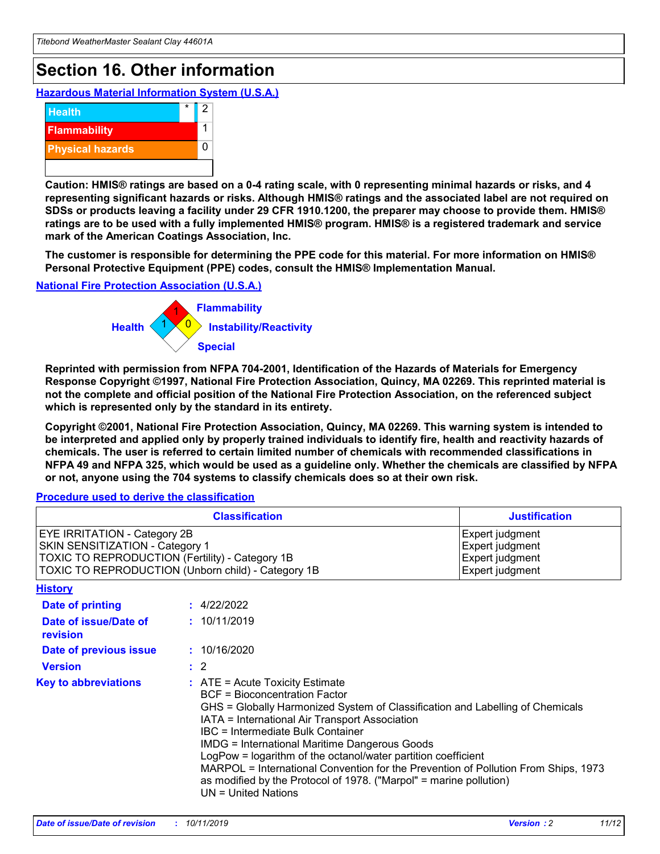## **Section 16. Other information**

**Hazardous Material Information System (U.S.A.)**



**Caution: HMIS® ratings are based on a 0-4 rating scale, with 0 representing minimal hazards or risks, and 4 representing significant hazards or risks. Although HMIS® ratings and the associated label are not required on SDSs or products leaving a facility under 29 CFR 1910.1200, the preparer may choose to provide them. HMIS® ratings are to be used with a fully implemented HMIS® program. HMIS® is a registered trademark and service mark of the American Coatings Association, Inc.**

**The customer is responsible for determining the PPE code for this material. For more information on HMIS® Personal Protective Equipment (PPE) codes, consult the HMIS® Implementation Manual.**

#### **National Fire Protection Association (U.S.A.)**



**Reprinted with permission from NFPA 704-2001, Identification of the Hazards of Materials for Emergency Response Copyright ©1997, National Fire Protection Association, Quincy, MA 02269. This reprinted material is not the complete and official position of the National Fire Protection Association, on the referenced subject which is represented only by the standard in its entirety.**

**Copyright ©2001, National Fire Protection Association, Quincy, MA 02269. This warning system is intended to be interpreted and applied only by properly trained individuals to identify fire, health and reactivity hazards of chemicals. The user is referred to certain limited number of chemicals with recommended classifications in NFPA 49 and NFPA 325, which would be used as a guideline only. Whether the chemicals are classified by NFPA or not, anyone using the 704 systems to classify chemicals does so at their own risk.**

#### **Procedure used to derive the classification**

| <b>Classification</b>                                                                                                                                                                  |                                                                                                                                                                                                                                                                   | <b>Justification</b>                                                                                                                                                                                                                                                                                       |  |
|----------------------------------------------------------------------------------------------------------------------------------------------------------------------------------------|-------------------------------------------------------------------------------------------------------------------------------------------------------------------------------------------------------------------------------------------------------------------|------------------------------------------------------------------------------------------------------------------------------------------------------------------------------------------------------------------------------------------------------------------------------------------------------------|--|
| <b>EYE IRRITATION - Category 2B</b><br>SKIN SENSITIZATION - Category 1<br><b>TOXIC TO REPRODUCTION (Fertility) - Category 1B</b><br>TOXIC TO REPRODUCTION (Unborn child) - Category 1B |                                                                                                                                                                                                                                                                   | Expert judgment<br>Expert judgment<br>Expert judgment<br>Expert judgment                                                                                                                                                                                                                                   |  |
| <b>History</b>                                                                                                                                                                         |                                                                                                                                                                                                                                                                   |                                                                                                                                                                                                                                                                                                            |  |
| <b>Date of printing</b>                                                                                                                                                                | : 4/22/2022                                                                                                                                                                                                                                                       |                                                                                                                                                                                                                                                                                                            |  |
| Date of issue/Date of<br>revision                                                                                                                                                      | : 10/11/2019                                                                                                                                                                                                                                                      |                                                                                                                                                                                                                                                                                                            |  |
| Date of previous issue                                                                                                                                                                 | : 10/16/2020                                                                                                                                                                                                                                                      |                                                                                                                                                                                                                                                                                                            |  |
| <b>Version</b>                                                                                                                                                                         | $\therefore$ 2                                                                                                                                                                                                                                                    |                                                                                                                                                                                                                                                                                                            |  |
| <b>Key to abbreviations</b>                                                                                                                                                            | $\therefore$ ATE = Acute Toxicity Estimate<br><b>BCF</b> = Bioconcentration Factor<br>IATA = International Air Transport Association<br><b>IBC</b> = Intermediate Bulk Container<br><b>IMDG = International Maritime Dangerous Goods</b><br>$UN = United Nations$ | GHS = Globally Harmonized System of Classification and Labelling of Chemicals<br>LogPow = logarithm of the octanol/water partition coefficient<br>MARPOL = International Convention for the Prevention of Pollution From Ships, 1973<br>as modified by the Protocol of 1978. ("Marpol" = marine pollution) |  |